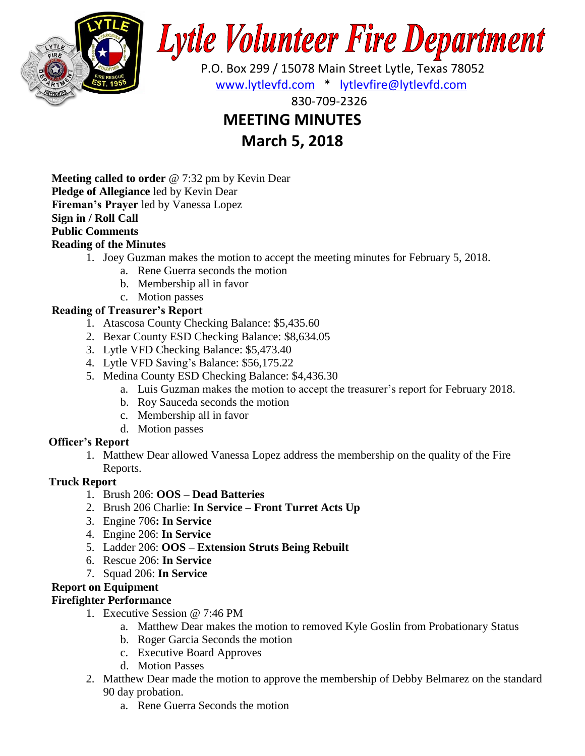

# **Lytle Volunteer Fire Department**

 P.O. Box 299 / 15078 Main Street Lytle, Texas 78052 [www.lytlevfd.com](http://www.lytlevfd.com/) \* [lytlevfire@lytlevfd.com](mailto:lytlevfire@lytlevfd.com)

830-709-2326

## **MEETING MINUTES**

**March 5, 2018**

**Meeting called to order** @ 7:32 pm by Kevin Dear **Pledge of Allegiance** led by Kevin Dear **Fireman's Prayer** led by Vanessa Lopez **Sign in / Roll Call Public Comments**

#### **Reading of the Minutes**

- 1. Joey Guzman makes the motion to accept the meeting minutes for February 5, 2018.
	- a. Rene Guerra seconds the motion
	- b. Membership all in favor
	- c. Motion passes

#### **Reading of Treasurer's Report**

- 1. Atascosa County Checking Balance: \$5,435.60
- 2. Bexar County ESD Checking Balance: \$8,634.05
- 3. Lytle VFD Checking Balance: \$5,473.40
- 4. Lytle VFD Saving's Balance: \$56,175.22
- 5. Medina County ESD Checking Balance: \$4,436.30
	- a. Luis Guzman makes the motion to accept the treasurer's report for February 2018.
	- b. Roy Sauceda seconds the motion
	- c. Membership all in favor
	- d. Motion passes

#### **Officer's Report**

1. Matthew Dear allowed Vanessa Lopez address the membership on the quality of the Fire Reports.

#### **Truck Report**

- 1. Brush 206: **OOS – Dead Batteries**
- 2. Brush 206 Charlie: **In Service – Front Turret Acts Up**
- 3. Engine 706**: In Service**
- 4. Engine 206: **In Service**
- 5. Ladder 206: **OOS – Extension Struts Being Rebuilt**
- 6. Rescue 206: **In Service**
- 7. Squad 206: **In Service**

#### **Report on Equipment**

#### **Firefighter Performance**

- 1. Executive Session @ 7:46 PM
	- a. Matthew Dear makes the motion to removed Kyle Goslin from Probationary Status
	- b. Roger Garcia Seconds the motion
	- c. Executive Board Approves
	- d. Motion Passes
- 2. Matthew Dear made the motion to approve the membership of Debby Belmarez on the standard 90 day probation.
	- a. Rene Guerra Seconds the motion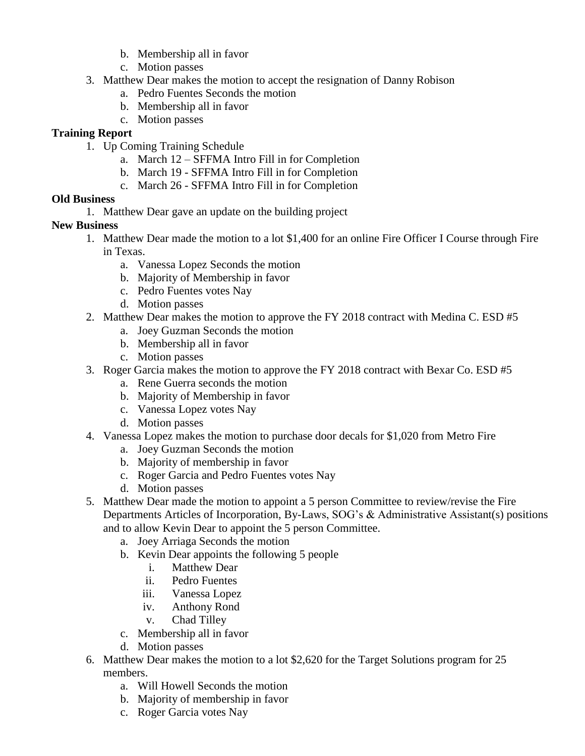- b. Membership all in favor
- c. Motion passes
- 3. Matthew Dear makes the motion to accept the resignation of Danny Robison
	- a. Pedro Fuentes Seconds the motion
	- b. Membership all in favor
	- c. Motion passes

#### **Training Report**

- 1. Up Coming Training Schedule
	- a. March 12 SFFMA Intro Fill in for Completion
	- b. March 19 SFFMA Intro Fill in for Completion
	- c. March 26 SFFMA Intro Fill in for Completion

#### **Old Business**

1. Matthew Dear gave an update on the building project

#### **New Business**

- 1. Matthew Dear made the motion to a lot \$1,400 for an online Fire Officer I Course through Fire in Texas.
	- a. Vanessa Lopez Seconds the motion
	- b. Majority of Membership in favor
	- c. Pedro Fuentes votes Nay
	- d. Motion passes
- 2. Matthew Dear makes the motion to approve the FY 2018 contract with Medina C. ESD #5
	- a. Joey Guzman Seconds the motion
	- b. Membership all in favor
	- c. Motion passes
- 3. Roger Garcia makes the motion to approve the FY 2018 contract with Bexar Co. ESD #5
	- a. Rene Guerra seconds the motion
	- b. Majority of Membership in favor
	- c. Vanessa Lopez votes Nay
	- d. Motion passes
- 4. Vanessa Lopez makes the motion to purchase door decals for \$1,020 from Metro Fire
	- a. Joey Guzman Seconds the motion
	- b. Majority of membership in favor
	- c. Roger Garcia and Pedro Fuentes votes Nay
	- d. Motion passes
- 5. Matthew Dear made the motion to appoint a 5 person Committee to review/revise the Fire Departments Articles of Incorporation, By-Laws, SOG's & Administrative Assistant(s) positions and to allow Kevin Dear to appoint the 5 person Committee.
	- a. Joey Arriaga Seconds the motion
	- b. Kevin Dear appoints the following 5 people
		- i. Matthew Dear
		- ii. Pedro Fuentes
		- iii. Vanessa Lopez
		- iv. Anthony Rond
		- v. Chad Tilley
	- c. Membership all in favor
	- d. Motion passes
- 6. Matthew Dear makes the motion to a lot \$2,620 for the Target Solutions program for 25 members.
	- a. Will Howell Seconds the motion
	- b. Majority of membership in favor
	- c. Roger Garcia votes Nay